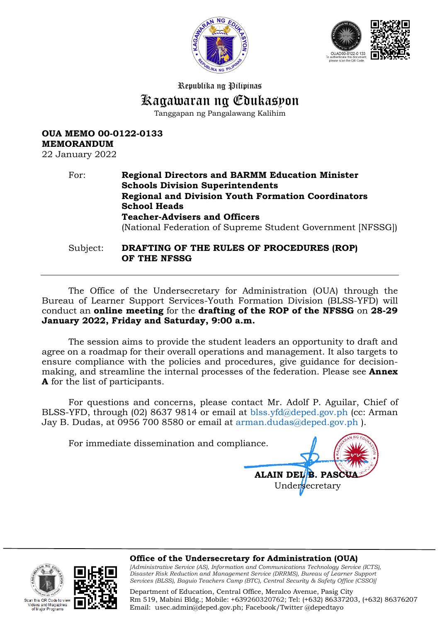



Republika ng Pilipinas

# Kagawaran ng Edukasyon

Tanggapan ng Pangalawang Kalihim

## **OUA MEMO 00-0122-0133 MEMORANDUM**

22 January 2022

# For: **Regional Directors and BARMM Education Minister Schools Division Superintendents Regional and Division Youth Formation Coordinators School Heads Teacher-Advisers and Officers**  (National Federation of Supreme Student Government [NFSSG]) Subject: **DRAFTING OF THE RULES OF PROCEDURES (ROP)**

**OF THE NFSSG**

The Office of the Undersecretary for Administration (OUA) through the Bureau of Learner Support Services-Youth Formation Division (BLSS-YFD) will conduct an **online meeting** for the **drafting of the ROP of the NFSSG** on **28-29 January 2022, Friday and Saturday, 9:00 a.m.** 

The session aims to provide the student leaders an opportunity to draft and agree on a roadmap for their overall operations and management. It also targets to ensure compliance with the policies and procedures, give guidance for decisionmaking, and streamline the internal processes of the federation. Please see **Annex A** for the list of participants.

For questions and concerns, please contact Mr. Adolf P. Aguilar, Chief of BLSS-YFD, through (02) 8637 9814 or email at [blss.yfd@deped.gov.ph](mailto:blss.yfd@deped.gov.ph) (cc: Arman Jay B. Dudas, at 0956 700 8580 or email at [arman.dudas@deped.gov.ph](mailto:arman.dudas@deped.gov.ph) ).

For immediate dissemination and compliance.

**ALAIN DEL'B. PASCU** Undersecretary

an this OR Code to view

and Magazine.



**Office of the Undersecretary for Administration (OUA)** *[Administrative Service (AS), Information and Communications Technology Service (ICTS), Disaster Risk Reduction and Management Service (DRRMS), Bureau of Learner Support* 

*Services (BLSS), Baguio Teachers Camp (BTC), Central Security & Safety Office (CSSO)]*

Department of Education, Central Office, Meralco Avenue, Pasig City Rm 519, Mabini Bldg.; Mobile: +639260320762; Tel: (+632) 86337203, (+632) 86376207 Email: [usec.admin@deped.gov.ph;](mailto:usec.admin@deped.gov.ph) Facebook/Twitter @depedtayo